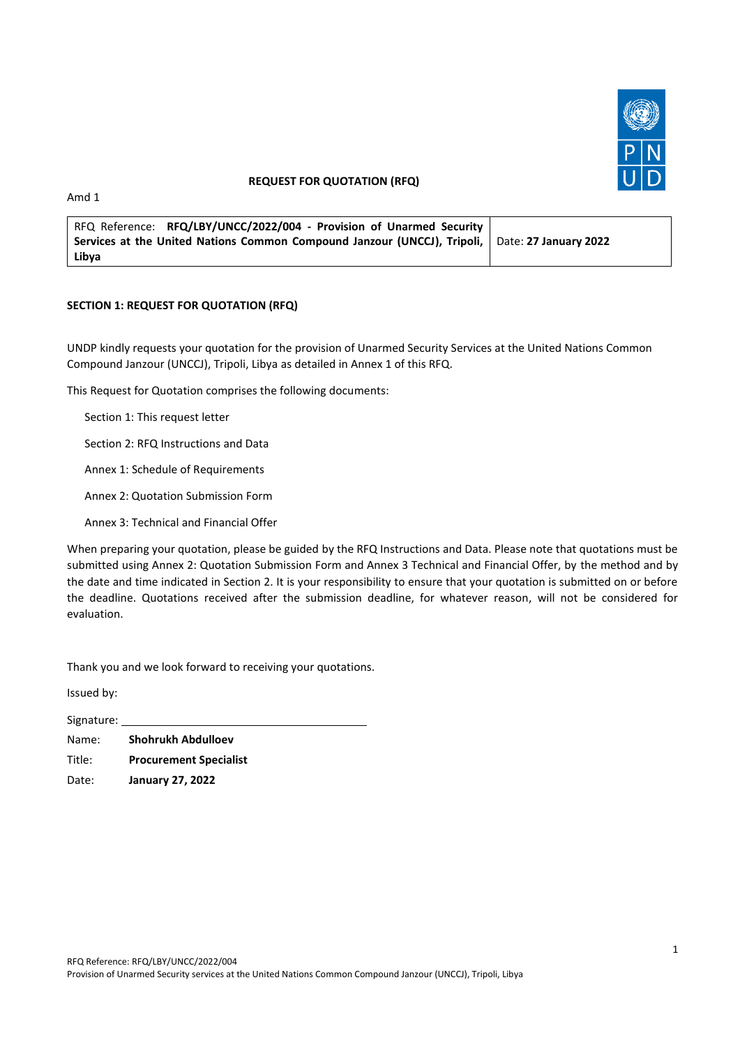

### **REQUEST FOR QUOTATION (RFQ)**

Amd 1

| RFQ Reference: RFQ/LBY/UNCC/2022/004 - Provision of Unarmed Security                           |  |
|------------------------------------------------------------------------------------------------|--|
| Services at the United Nations Common Compound Janzour (UNCCJ), Tripoli, Date: 27 January 2022 |  |
| Libya                                                                                          |  |

### **SECTION 1: REQUEST FOR QUOTATION (RFQ)**

UNDP kindly requests your quotation for the provision of Unarmed Security Services at the United Nations Common Compound Janzour (UNCCJ), Tripoli, Libya as detailed in Annex 1 of this RFQ.

This Request for Quotation comprises the following documents:

Section 1: This request letter

Section 2: RFQ Instructions and Data

Annex 1: Schedule of Requirements

Annex 2: Quotation Submission Form

Annex 3: Technical and Financial Offer

When preparing your quotation, please be guided by the RFQ Instructions and Data. Please note that quotations must be submitted using Annex 2: Quotation Submission Form and Annex 3 Technical and Financial Offer, by the method and by the date and time indicated in Section 2. It is your responsibility to ensure that your quotation is submitted on or before the deadline. Quotations received after the submission deadline, for whatever reason, will not be considered for evaluation.

Thank you and we look forward to receiving your quotations.

Issued by:

Signature: Name: **Shohrukh Abdulloev** Title: **Procurement Specialist** Date: **January 27, 2022**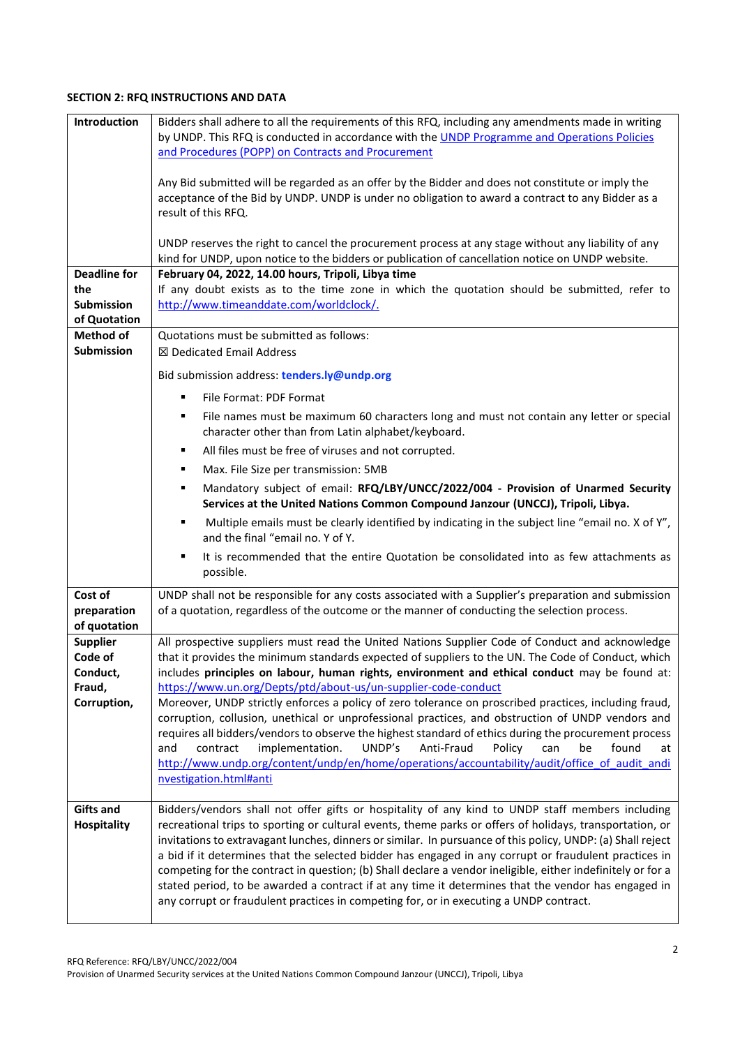## **SECTION 2: RFQ INSTRUCTIONS AND DATA**

| Introduction        | Bidders shall adhere to all the requirements of this RFQ, including any amendments made in writing                                                                                                         |
|---------------------|------------------------------------------------------------------------------------------------------------------------------------------------------------------------------------------------------------|
|                     | by UNDP. This RFQ is conducted in accordance with the UNDP Programme and Operations Policies                                                                                                               |
|                     | and Procedures (POPP) on Contracts and Procurement                                                                                                                                                         |
|                     |                                                                                                                                                                                                            |
|                     | Any Bid submitted will be regarded as an offer by the Bidder and does not constitute or imply the                                                                                                          |
|                     | acceptance of the Bid by UNDP. UNDP is under no obligation to award a contract to any Bidder as a                                                                                                          |
|                     | result of this RFQ.                                                                                                                                                                                        |
|                     |                                                                                                                                                                                                            |
|                     | UNDP reserves the right to cancel the procurement process at any stage without any liability of any                                                                                                        |
| <b>Deadline for</b> | kind for UNDP, upon notice to the bidders or publication of cancellation notice on UNDP website.                                                                                                           |
| the                 | February 04, 2022, 14.00 hours, Tripoli, Libya time<br>If any doubt exists as to the time zone in which the quotation should be submitted, refer to                                                        |
| <b>Submission</b>   | http://www.timeanddate.com/worldclock/.                                                                                                                                                                    |
| of Quotation        |                                                                                                                                                                                                            |
| <b>Method of</b>    | Quotations must be submitted as follows:                                                                                                                                                                   |
| <b>Submission</b>   | ⊠ Dedicated Email Address                                                                                                                                                                                  |
|                     |                                                                                                                                                                                                            |
|                     | Bid submission address: tenders.ly@undp.org                                                                                                                                                                |
|                     | File Format: PDF Format<br>٠                                                                                                                                                                               |
|                     | File names must be maximum 60 characters long and must not contain any letter or special                                                                                                                   |
|                     | character other than from Latin alphabet/keyboard.                                                                                                                                                         |
|                     | All files must be free of viruses and not corrupted.<br>٠                                                                                                                                                  |
|                     | Max. File Size per transmission: 5MB<br>٠                                                                                                                                                                  |
|                     | Mandatory subject of email: RFQ/LBY/UNCC/2022/004 - Provision of Unarmed Security<br>٠                                                                                                                     |
|                     | Services at the United Nations Common Compound Janzour (UNCCJ), Tripoli, Libya.                                                                                                                            |
|                     | Multiple emails must be clearly identified by indicating in the subject line "email no. X of Y",<br>٠                                                                                                      |
|                     | and the final "email no. Y of Y.                                                                                                                                                                           |
|                     | It is recommended that the entire Quotation be consolidated into as few attachments as                                                                                                                     |
|                     | possible.                                                                                                                                                                                                  |
| Cost of             | UNDP shall not be responsible for any costs associated with a Supplier's preparation and submission                                                                                                        |
| preparation         | of a quotation, regardless of the outcome or the manner of conducting the selection process.                                                                                                               |
| of quotation        |                                                                                                                                                                                                            |
| <b>Supplier</b>     | All prospective suppliers must read the United Nations Supplier Code of Conduct and acknowledge                                                                                                            |
| Code of             | that it provides the minimum standards expected of suppliers to the UN. The Code of Conduct, which                                                                                                         |
| Conduct,            | includes principles on labour, human rights, environment and ethical conduct may be found at:                                                                                                              |
| Fraud,              | https://www.un.org/Depts/ptd/about-us/un-supplier-code-conduct                                                                                                                                             |
| Corruption,         | Moreover, UNDP strictly enforces a policy of zero tolerance on proscribed practices, including fraud,<br>corruption, collusion, unethical or unprofessional practices, and obstruction of UNDP vendors and |
|                     | requires all bidders/vendors to observe the highest standard of ethics during the procurement process                                                                                                      |
|                     | implementation.<br>UNDP's<br>contract<br>Anti-Fraud<br>Policy<br>can<br>be<br>found<br>and<br>at                                                                                                           |
|                     | http://www.undp.org/content/undp/en/home/operations/accountability/audit/office of audit andi                                                                                                              |
|                     | nvestigation.html#anti                                                                                                                                                                                     |
|                     |                                                                                                                                                                                                            |
| <b>Gifts and</b>    | Bidders/vendors shall not offer gifts or hospitality of any kind to UNDP staff members including                                                                                                           |
| <b>Hospitality</b>  | recreational trips to sporting or cultural events, theme parks or offers of holidays, transportation, or                                                                                                   |
|                     | invitations to extravagant lunches, dinners or similar. In pursuance of this policy, UNDP: (a) Shall reject                                                                                                |
|                     | a bid if it determines that the selected bidder has engaged in any corrupt or fraudulent practices in                                                                                                      |
|                     | competing for the contract in question; (b) Shall declare a vendor ineligible, either indefinitely or for a                                                                                                |
|                     | stated period, to be awarded a contract if at any time it determines that the vendor has engaged in                                                                                                        |
|                     | any corrupt or fraudulent practices in competing for, or in executing a UNDP contract.                                                                                                                     |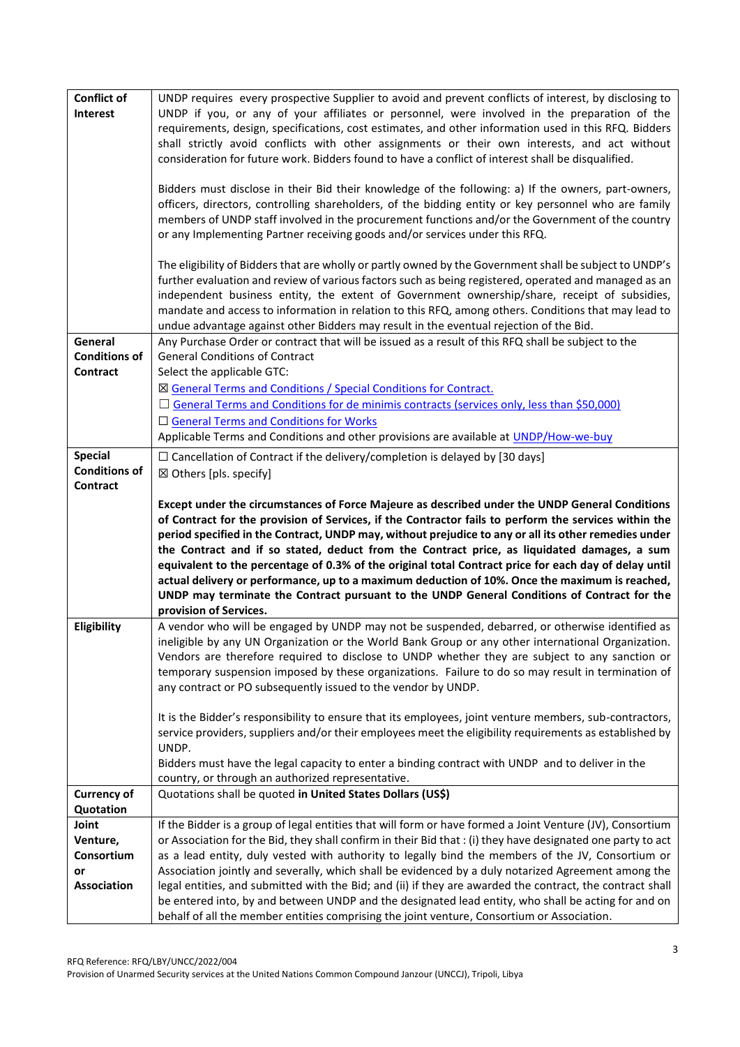| <b>Conflict of</b>   | UNDP requires every prospective Supplier to avoid and prevent conflicts of interest, by disclosing to                                                                                                            |
|----------------------|------------------------------------------------------------------------------------------------------------------------------------------------------------------------------------------------------------------|
| Interest             | UNDP if you, or any of your affiliates or personnel, were involved in the preparation of the                                                                                                                     |
|                      | requirements, design, specifications, cost estimates, and other information used in this RFQ. Bidders                                                                                                            |
|                      | shall strictly avoid conflicts with other assignments or their own interests, and act without                                                                                                                    |
|                      | consideration for future work. Bidders found to have a conflict of interest shall be disqualified.                                                                                                               |
|                      |                                                                                                                                                                                                                  |
|                      | Bidders must disclose in their Bid their knowledge of the following: a) If the owners, part-owners,                                                                                                              |
|                      | officers, directors, controlling shareholders, of the bidding entity or key personnel who are family                                                                                                             |
|                      | members of UNDP staff involved in the procurement functions and/or the Government of the country                                                                                                                 |
|                      | or any Implementing Partner receiving goods and/or services under this RFQ.                                                                                                                                      |
|                      | The eligibility of Bidders that are wholly or partly owned by the Government shall be subject to UNDP's                                                                                                          |
|                      | further evaluation and review of various factors such as being registered, operated and managed as an                                                                                                            |
|                      | independent business entity, the extent of Government ownership/share, receipt of subsidies,                                                                                                                     |
|                      | mandate and access to information in relation to this RFQ, among others. Conditions that may lead to                                                                                                             |
|                      | undue advantage against other Bidders may result in the eventual rejection of the Bid.                                                                                                                           |
| General              | Any Purchase Order or contract that will be issued as a result of this RFQ shall be subject to the                                                                                                               |
| <b>Conditions of</b> | <b>General Conditions of Contract</b>                                                                                                                                                                            |
| Contract             | Select the applicable GTC:                                                                                                                                                                                       |
|                      | ⊠ General Terms and Conditions / Special Conditions for Contract.                                                                                                                                                |
|                      | $\Box$ General Terms and Conditions for de minimis contracts (services only, less than \$50,000)                                                                                                                 |
|                      | □ General Terms and Conditions for Works                                                                                                                                                                         |
|                      | Applicable Terms and Conditions and other provisions are available at UNDP/How-we-buy                                                                                                                            |
| <b>Special</b>       | $\Box$ Cancellation of Contract if the delivery/completion is delayed by [30 days]                                                                                                                               |
| <b>Conditions of</b> | ⊠ Others [pls. specify]                                                                                                                                                                                          |
| Contract             |                                                                                                                                                                                                                  |
|                      | Except under the circumstances of Force Majeure as described under the UNDP General Conditions                                                                                                                   |
|                      |                                                                                                                                                                                                                  |
|                      | of Contract for the provision of Services, if the Contractor fails to perform the services within the                                                                                                            |
|                      | period specified in the Contract, UNDP may, without prejudice to any or all its other remedies under                                                                                                             |
|                      | the Contract and if so stated, deduct from the Contract price, as liquidated damages, a sum                                                                                                                      |
|                      | equivalent to the percentage of 0.3% of the original total Contract price for each day of delay until                                                                                                            |
|                      | actual delivery or performance, up to a maximum deduction of 10%. Once the maximum is reached,                                                                                                                   |
|                      | UNDP may terminate the Contract pursuant to the UNDP General Conditions of Contract for the                                                                                                                      |
|                      | provision of Services.                                                                                                                                                                                           |
| Eligibility          | A vendor who will be engaged by UNDP may not be suspended, debarred, or otherwise identified as                                                                                                                  |
|                      | ineligible by any UN Organization or the World Bank Group or any other international Organization.                                                                                                               |
|                      | Vendors are therefore required to disclose to UNDP whether they are subject to any sanction or                                                                                                                   |
|                      | temporary suspension imposed by these organizations. Failure to do so may result in termination of                                                                                                               |
|                      | any contract or PO subsequently issued to the vendor by UNDP.                                                                                                                                                    |
|                      | It is the Bidder's responsibility to ensure that its employees, joint venture members, sub-contractors,                                                                                                          |
|                      | service providers, suppliers and/or their employees meet the eligibility requirements as established by                                                                                                          |
|                      | UNDP.                                                                                                                                                                                                            |
|                      | Bidders must have the legal capacity to enter a binding contract with UNDP and to deliver in the                                                                                                                 |
|                      | country, or through an authorized representative.                                                                                                                                                                |
| <b>Currency of</b>   | Quotations shall be quoted in United States Dollars (US\$)                                                                                                                                                       |
| Quotation            |                                                                                                                                                                                                                  |
| Joint                | If the Bidder is a group of legal entities that will form or have formed a Joint Venture (JV), Consortium                                                                                                        |
| Venture,             | or Association for the Bid, they shall confirm in their Bid that : (i) they have designated one party to act                                                                                                     |
| Consortium<br>or     | as a lead entity, duly vested with authority to legally bind the members of the JV, Consortium or                                                                                                                |
| <b>Association</b>   | Association jointly and severally, which shall be evidenced by a duly notarized Agreement among the                                                                                                              |
|                      | legal entities, and submitted with the Bid; and (ii) if they are awarded the contract, the contract shall<br>be entered into, by and between UNDP and the designated lead entity, who shall be acting for and on |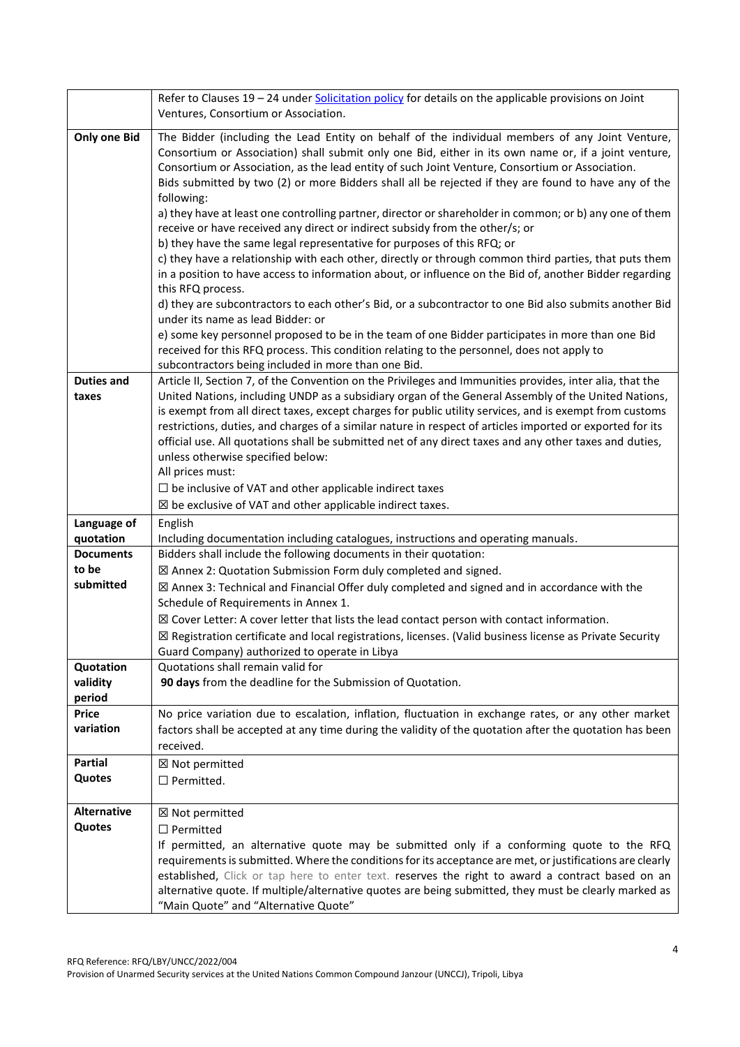|                       | Refer to Clauses 19 - 24 under Solicitation policy for details on the applicable provisions on Joint                                                                                                                 |
|-----------------------|----------------------------------------------------------------------------------------------------------------------------------------------------------------------------------------------------------------------|
|                       | Ventures, Consortium or Association.                                                                                                                                                                                 |
| <b>Only one Bid</b>   | The Bidder (including the Lead Entity on behalf of the individual members of any Joint Venture,                                                                                                                      |
|                       | Consortium or Association) shall submit only one Bid, either in its own name or, if a joint venture,                                                                                                                 |
|                       | Consortium or Association, as the lead entity of such Joint Venture, Consortium or Association.                                                                                                                      |
|                       | Bids submitted by two (2) or more Bidders shall all be rejected if they are found to have any of the                                                                                                                 |
|                       | following:                                                                                                                                                                                                           |
|                       | a) they have at least one controlling partner, director or shareholder in common; or b) any one of them                                                                                                              |
|                       | receive or have received any direct or indirect subsidy from the other/s; or                                                                                                                                         |
|                       | b) they have the same legal representative for purposes of this RFQ; or                                                                                                                                              |
|                       | c) they have a relationship with each other, directly or through common third parties, that puts them<br>in a position to have access to information about, or influence on the Bid of, another Bidder regarding     |
|                       | this RFQ process.                                                                                                                                                                                                    |
|                       | d) they are subcontractors to each other's Bid, or a subcontractor to one Bid also submits another Bid                                                                                                               |
|                       | under its name as lead Bidder: or                                                                                                                                                                                    |
|                       | e) some key personnel proposed to be in the team of one Bidder participates in more than one Bid                                                                                                                     |
|                       | received for this RFQ process. This condition relating to the personnel, does not apply to                                                                                                                           |
|                       | subcontractors being included in more than one Bid.                                                                                                                                                                  |
| <b>Duties and</b>     | Article II, Section 7, of the Convention on the Privileges and Immunities provides, inter alia, that the                                                                                                             |
| taxes                 | United Nations, including UNDP as a subsidiary organ of the General Assembly of the United Nations,                                                                                                                  |
|                       | is exempt from all direct taxes, except charges for public utility services, and is exempt from customs                                                                                                              |
|                       | restrictions, duties, and charges of a similar nature in respect of articles imported or exported for its<br>official use. All quotations shall be submitted net of any direct taxes and any other taxes and duties, |
|                       | unless otherwise specified below:                                                                                                                                                                                    |
|                       | All prices must:                                                                                                                                                                                                     |
|                       | $\Box$ be inclusive of VAT and other applicable indirect taxes                                                                                                                                                       |
|                       | $\boxtimes$ be exclusive of VAT and other applicable indirect taxes.                                                                                                                                                 |
| Language of           | English                                                                                                                                                                                                              |
| quotation             | Including documentation including catalogues, instructions and operating manuals.                                                                                                                                    |
| <b>Documents</b>      | Bidders shall include the following documents in their quotation:                                                                                                                                                    |
| to be                 | $\boxtimes$ Annex 2: Quotation Submission Form duly completed and signed.                                                                                                                                            |
| submitted             | $\boxtimes$ Annex 3: Technical and Financial Offer duly completed and signed and in accordance with the                                                                                                              |
|                       | Schedule of Requirements in Annex 1.                                                                                                                                                                                 |
|                       | $\boxtimes$ Cover Letter: A cover letter that lists the lead contact person with contact information.                                                                                                                |
|                       | ⊠ Registration certificate and local registrations, licenses. (Valid business license as Private Security                                                                                                            |
|                       | Guard Company) authorized to operate in Libya                                                                                                                                                                        |
| Quotation<br>validity | Quotations shall remain valid for<br>90 days from the deadline for the Submission of Quotation.                                                                                                                      |
| period                |                                                                                                                                                                                                                      |
| <b>Price</b>          | No price variation due to escalation, inflation, fluctuation in exchange rates, or any other market                                                                                                                  |
| variation             | factors shall be accepted at any time during the validity of the quotation after the quotation has been                                                                                                              |
|                       | received.                                                                                                                                                                                                            |
| <b>Partial</b>        | ⊠ Not permitted                                                                                                                                                                                                      |
| Quotes                | $\Box$ Permitted.                                                                                                                                                                                                    |
|                       |                                                                                                                                                                                                                      |
| <b>Alternative</b>    | ⊠ Not permitted                                                                                                                                                                                                      |
| Quotes                | $\Box$ Permitted                                                                                                                                                                                                     |
|                       | If permitted, an alternative quote may be submitted only if a conforming quote to the RFQ                                                                                                                            |
|                       | requirements is submitted. Where the conditions for its acceptance are met, or justifications are clearly                                                                                                            |
|                       | established, Click or tap here to enter text. reserves the right to award a contract based on an                                                                                                                     |
|                       | alternative quote. If multiple/alternative quotes are being submitted, they must be clearly marked as                                                                                                                |
|                       | "Main Quote" and "Alternative Quote"                                                                                                                                                                                 |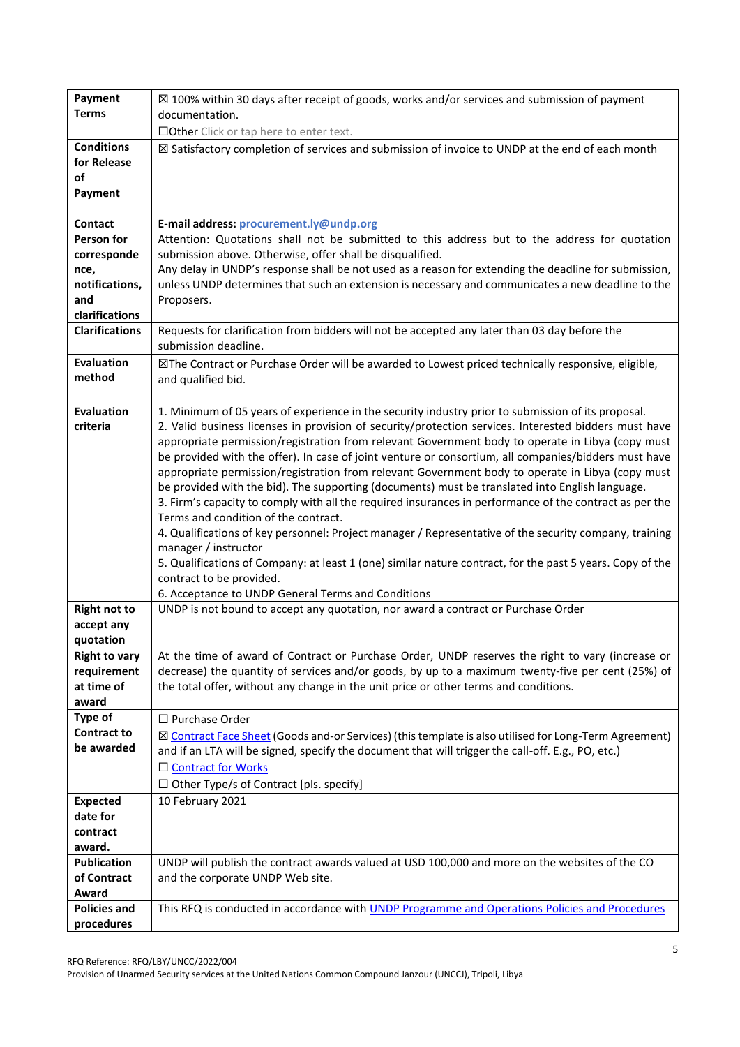| Payment               | $\boxtimes$ 100% within 30 days after receipt of goods, works and/or services and submission of payment   |
|-----------------------|-----------------------------------------------------------------------------------------------------------|
| <b>Terms</b>          | documentation.                                                                                            |
|                       | □Other Click or tap here to enter text.                                                                   |
| <b>Conditions</b>     | ⊠ Satisfactory completion of services and submission of invoice to UNDP at the end of each month          |
| for Release           |                                                                                                           |
| of                    |                                                                                                           |
| Payment               |                                                                                                           |
|                       |                                                                                                           |
| <b>Contact</b>        | E-mail address: procurement.ly@undp.org                                                                   |
| Person for            | Attention: Quotations shall not be submitted to this address but to the address for quotation             |
| corresponde           | submission above. Otherwise, offer shall be disqualified.                                                 |
| nce,                  | Any delay in UNDP's response shall be not used as a reason for extending the deadline for submission,     |
| notifications,        | unless UNDP determines that such an extension is necessary and communicates a new deadline to the         |
| and                   | Proposers.                                                                                                |
| clarifications        |                                                                                                           |
| <b>Clarifications</b> | Requests for clarification from bidders will not be accepted any later than 03 day before the             |
|                       | submission deadline.                                                                                      |
| <b>Evaluation</b>     | ⊠The Contract or Purchase Order will be awarded to Lowest priced technically responsive, eligible,        |
| method                | and qualified bid.                                                                                        |
|                       |                                                                                                           |
| <b>Evaluation</b>     | 1. Minimum of 05 years of experience in the security industry prior to submission of its proposal.        |
| criteria              | 2. Valid business licenses in provision of security/protection services. Interested bidders must have     |
|                       | appropriate permission/registration from relevant Government body to operate in Libya (copy must          |
|                       | be provided with the offer). In case of joint venture or consortium, all companies/bidders must have      |
|                       | appropriate permission/registration from relevant Government body to operate in Libya (copy must          |
|                       | be provided with the bid). The supporting (documents) must be translated into English language.           |
|                       | 3. Firm's capacity to comply with all the required insurances in performance of the contract as per the   |
|                       | Terms and condition of the contract.                                                                      |
|                       | 4. Qualifications of key personnel: Project manager / Representative of the security company, training    |
|                       | manager / instructor                                                                                      |
|                       | 5. Qualifications of Company: at least 1 (one) similar nature contract, for the past 5 years. Copy of the |
|                       | contract to be provided.                                                                                  |
|                       | 6. Acceptance to UNDP General Terms and Conditions                                                        |
| <b>Right not to</b>   | UNDP is not bound to accept any quotation, nor award a contract or Purchase Order                         |
| accept any            |                                                                                                           |
| quotation             |                                                                                                           |
| <b>Right to vary</b>  | At the time of award of Contract or Purchase Order, UNDP reserves the right to vary (increase or          |
| requirement           | decrease) the quantity of services and/or goods, by up to a maximum twenty-five per cent (25%) of         |
| at time of            | the total offer, without any change in the unit price or other terms and conditions.                      |
| award                 |                                                                                                           |
| <b>Type of</b>        | □ Purchase Order                                                                                          |
| <b>Contract to</b>    | ⊠ Contract Face Sheet (Goods and-or Services) (this template is also utilised for Long-Term Agreement)    |
| be awarded            | and if an LTA will be signed, specify the document that will trigger the call-off. E.g., PO, etc.)        |
|                       | □ Contract for Works                                                                                      |
|                       | $\Box$ Other Type/s of Contract [pls. specify]                                                            |
| <b>Expected</b>       | 10 February 2021                                                                                          |
| date for              |                                                                                                           |
| contract              |                                                                                                           |
| award.                |                                                                                                           |
| <b>Publication</b>    | UNDP will publish the contract awards valued at USD 100,000 and more on the websites of the CO            |
| of Contract           | and the corporate UNDP Web site.                                                                          |
| Award                 |                                                                                                           |
| <b>Policies and</b>   | This RFQ is conducted in accordance with UNDP Programme and Operations Policies and Procedures            |
| procedures            |                                                                                                           |
|                       |                                                                                                           |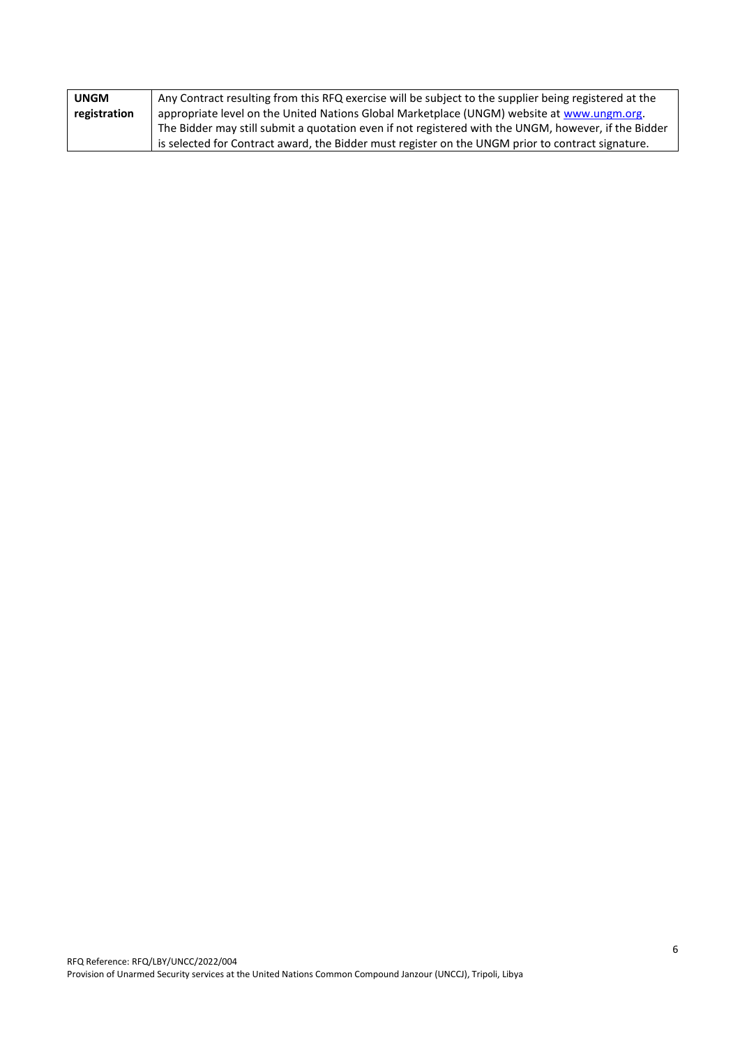| <b>UNGM</b>  | Any Contract resulting from this RFQ exercise will be subject to the supplier being registered at the |
|--------------|-------------------------------------------------------------------------------------------------------|
| registration | appropriate level on the United Nations Global Marketplace (UNGM) website at www.ungm.org.            |
|              | The Bidder may still submit a quotation even if not registered with the UNGM, however, if the Bidder  |
|              | is selected for Contract award, the Bidder must register on the UNGM prior to contract signature.     |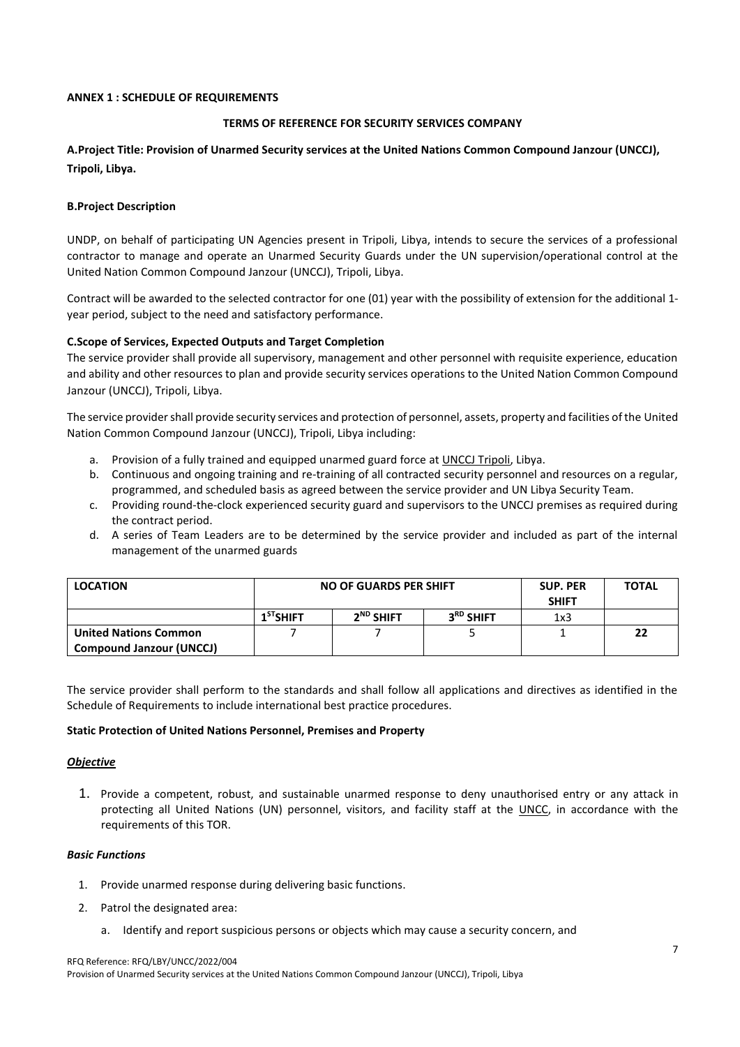### **ANNEX 1 : SCHEDULE OF REQUIREMENTS**

## **TERMS OF REFERENCE FOR SECURITY SERVICES COMPANY**

# **A.Project Title: Provision of Unarmed Security services at the United Nations Common Compound Janzour (UNCCJ), Tripoli, Libya.**

### **B.Project Description**

UNDP, on behalf of participating UN Agencies present in Tripoli, Libya, intends to secure the services of a professional contractor to manage and operate an Unarmed Security Guards under the UN supervision/operational control at the United Nation Common Compound Janzour (UNCCJ), Tripoli, Libya.

Contract will be awarded to the selected contractor for one (01) year with the possibility of extension for the additional 1 year period, subject to the need and satisfactory performance.

### **C.Scope of Services, Expected Outputs and Target Completion**

The service provider shall provide all supervisory, management and other personnel with requisite experience, education and ability and other resources to plan and provide security services operations to the United Nation Common Compound Janzour (UNCCJ), Tripoli, Libya.

The service provider shall provide security services and protection of personnel, assets, property and facilities of the United Nation Common Compound Janzour (UNCCJ), Tripoli, Libya including:

- a. Provision of a fully trained and equipped unarmed guard force at UNCCJ Tripoli, Libya.
- b. Continuous and ongoing training and re-training of all contracted security personnel and resources on a regular, programmed, and scheduled basis as agreed between the service provider and UN Libya Security Team.
- c. Providing round-the-clock experienced security guard and supervisors to the UNCCJ premises as required during the contract period.
- d. A series of Team Leaders are to be determined by the service provider and included as part of the internal management of the unarmed guards

| <b>LOCATION</b>                                                 | NO OF GUARDS PER SHIFT |             |                       | <b>SUP. PER</b><br><b>SHIFT</b> | <b>TOTAL</b> |
|-----------------------------------------------------------------|------------------------|-------------|-----------------------|---------------------------------|--------------|
|                                                                 | $1ST$ SHIFT            | $2ND$ SHIFT | 3 <sup>RD</sup> SHIFT | 1x3                             |              |
| <b>United Nations Common</b><br><b>Compound Janzour (UNCCJ)</b> |                        |             |                       |                                 | 22           |

The service provider shall perform to the standards and shall follow all applications and directives as identified in the Schedule of Requirements to include international best practice procedures.

### **Static Protection of United Nations Personnel, Premises and Property**

### *Objective*

1. Provide a competent, robust, and sustainable unarmed response to deny unauthorised entry or any attack in protecting all United Nations (UN) personnel, visitors, and facility staff at the UNCC, in accordance with the requirements of this TOR.

### *Basic Functions*

- 1. Provide unarmed response during delivering basic functions.
- 2. Patrol the designated area:
	- a. Identify and report suspicious persons or objects which may cause a security concern, and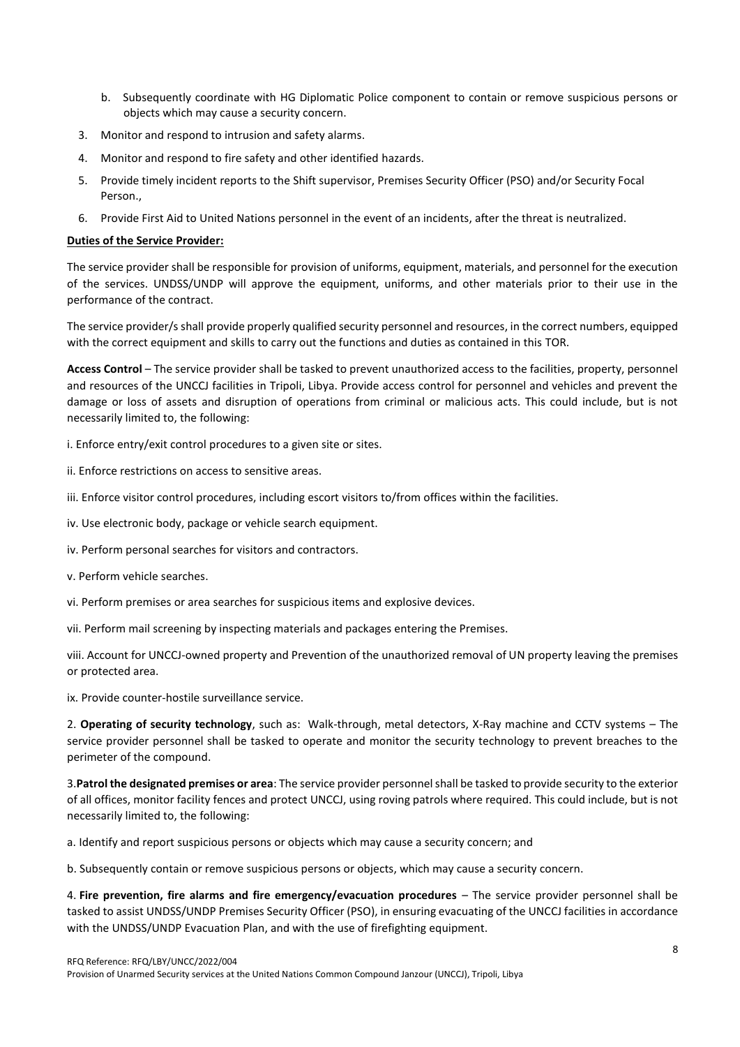- b. Subsequently coordinate with HG Diplomatic Police component to contain or remove suspicious persons or objects which may cause a security concern.
- 3. Monitor and respond to intrusion and safety alarms.
- 4. Monitor and respond to fire safety and other identified hazards.
- 5. Provide timely incident reports to the Shift supervisor, Premises Security Officer (PSO) and/or Security Focal Person.,
- 6. Provide First Aid to United Nations personnel in the event of an incidents, after the threat is neutralized.

### **Duties of the Service Provider:**

The service provider shall be responsible for provision of uniforms, equipment, materials, and personnel for the execution of the services. UNDSS/UNDP will approve the equipment, uniforms, and other materials prior to their use in the performance of the contract.

The service provider/s shall provide properly qualified security personnel and resources, in the correct numbers, equipped with the correct equipment and skills to carry out the functions and duties as contained in this TOR.

**Access Control** – The service provider shall be tasked to prevent unauthorized access to the facilities, property, personnel and resources of the UNCCJ facilities in Tripoli, Libya. Provide access control for personnel and vehicles and prevent the damage or loss of assets and disruption of operations from criminal or malicious acts. This could include, but is not necessarily limited to, the following:

i. Enforce entry/exit control procedures to a given site or sites.

ii. Enforce restrictions on access to sensitive areas.

iii. Enforce visitor control procedures, including escort visitors to/from offices within the facilities.

iv. Use electronic body, package or vehicle search equipment.

iv. Perform personal searches for visitors and contractors.

v. Perform vehicle searches.

vi. Perform premises or area searches for suspicious items and explosive devices.

vii. Perform mail screening by inspecting materials and packages entering the Premises.

viii. Account for UNCCJ-owned property and Prevention of the unauthorized removal of UN property leaving the premises or protected area.

ix. Provide counter-hostile surveillance service.

2. **Operating of security technology**, such as: Walk-through, metal detectors, X-Ray machine and CCTV systems – The service provider personnel shall be tasked to operate and monitor the security technology to prevent breaches to the perimeter of the compound.

3.**Patrol the designated premises or area**: The service provider personnel shall be tasked to provide security to the exterior of all offices, monitor facility fences and protect UNCCJ, using roving patrols where required. This could include, but is not necessarily limited to, the following:

a. Identify and report suspicious persons or objects which may cause a security concern; and

b. Subsequently contain or remove suspicious persons or objects, which may cause a security concern.

4. **Fire prevention, fire alarms and fire emergency/evacuation procedures** – The service provider personnel shall be tasked to assist UNDSS/UNDP Premises Security Officer (PSO), in ensuring evacuating of the UNCCJ facilities in accordance with the UNDSS/UNDP Evacuation Plan, and with the use of firefighting equipment.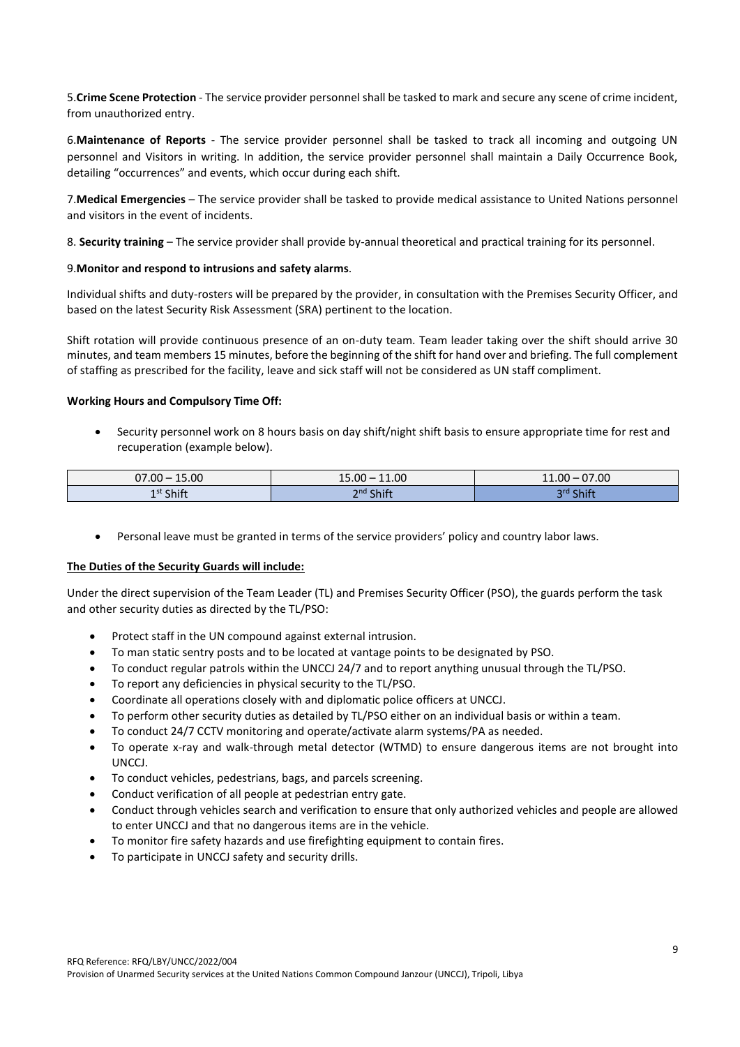5.**Crime Scene Protection** - The service provider personnel shall be tasked to mark and secure any scene of crime incident, from unauthorized entry.

6.**Maintenance of Reports** - The service provider personnel shall be tasked to track all incoming and outgoing UN personnel and Visitors in writing. In addition, the service provider personnel shall maintain a Daily Occurrence Book, detailing "occurrences" and events, which occur during each shift.

7.**Medical Emergencies** – The service provider shall be tasked to provide medical assistance to United Nations personnel and visitors in the event of incidents.

8. **Security training** – The service provider shall provide by-annual theoretical and practical training for its personnel.

#### 9.**Monitor and respond to intrusions and safety alarms**.

Individual shifts and duty-rosters will be prepared by the provider, in consultation with the Premises Security Officer, and based on the latest Security Risk Assessment (SRA) pertinent to the location.

Shift rotation will provide continuous presence of an on-duty team. Team leader taking over the shift should arrive 30 minutes, and team members 15 minutes, before the beginning of the shift for hand over and briefing. The full complement of staffing as prescribed for the facility, leave and sick staff will not be considered as UN staff compliment.

#### **Working Hours and Compulsory Time Off:**

• Security personnel work on 8 hours basis on day shift/night shift basis to ensure appropriate time for rest and recuperation (example below).

| $07.00 -$             | 11.00                                                                                                                                                     | 07.00         |
|-----------------------|-----------------------------------------------------------------------------------------------------------------------------------------------------------|---------------|
| 15.00                 | $15.00 -$                                                                                                                                                 | $11.00 -$     |
| 1 <sup>st</sup> Shift | Shift<br>วnd เ<br>____<br>$\mathcal{L}^{\text{max}}_{\text{max}}$ and $\mathcal{L}^{\text{max}}_{\text{max}}$ and $\mathcal{L}^{\text{max}}_{\text{max}}$ | Shift<br>ord. |

• Personal leave must be granted in terms of the service providers' policy and country labor laws.

#### **The Duties of the Security Guards will include:**

Under the direct supervision of the Team Leader (TL) and Premises Security Officer (PSO), the guards perform the task and other security duties as directed by the TL/PSO:

- Protect staff in the UN compound against external intrusion.
- To man static sentry posts and to be located at vantage points to be designated by PSO.
- To conduct regular patrols within the UNCCJ 24/7 and to report anything unusual through the TL/PSO.
- To report any deficiencies in physical security to the TL/PSO.
- Coordinate all operations closely with and diplomatic police officers at UNCCJ.
- To perform other security duties as detailed by TL/PSO either on an individual basis or within a team.
- To conduct 24/7 CCTV monitoring and operate/activate alarm systems/PA as needed.
- To operate x-ray and walk-through metal detector (WTMD) to ensure dangerous items are not brought into UNCCJ.
- To conduct vehicles, pedestrians, bags, and parcels screening.
- Conduct verification of all people at pedestrian entry gate.
- Conduct through vehicles search and verification to ensure that only authorized vehicles and people are allowed to enter UNCCJ and that no dangerous items are in the vehicle.
- To monitor fire safety hazards and use firefighting equipment to contain fires.
- To participate in UNCCJ safety and security drills.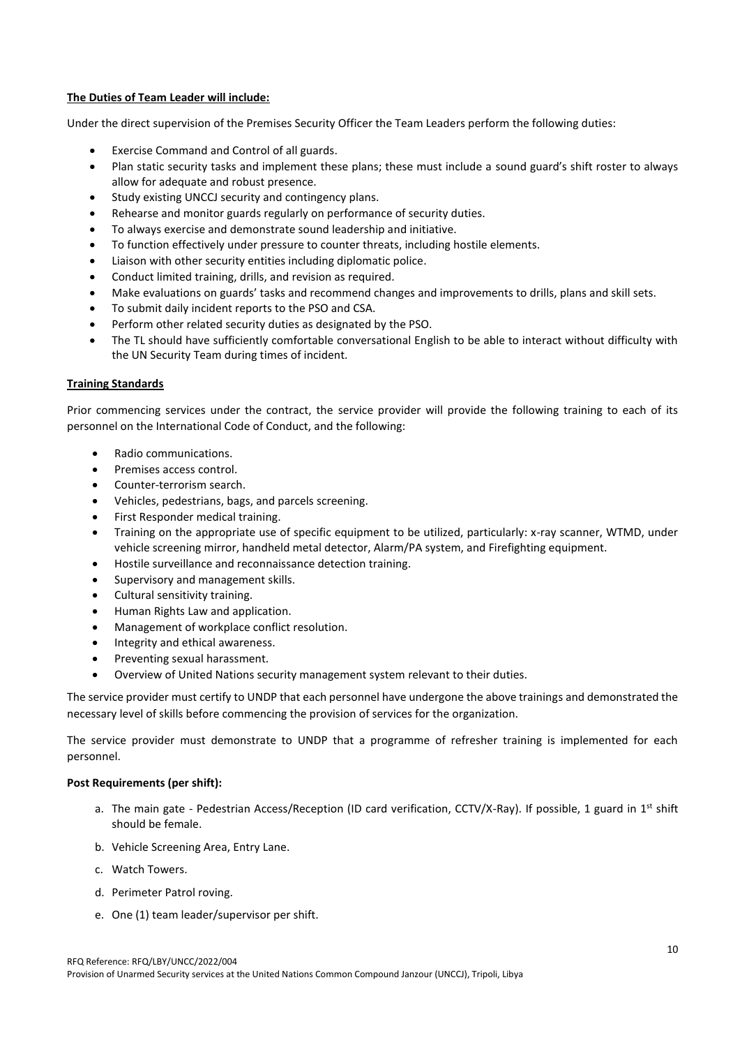### **The Duties of Team Leader will include:**

Under the direct supervision of the Premises Security Officer the Team Leaders perform the following duties:

- Exercise Command and Control of all guards.
- Plan static security tasks and implement these plans; these must include a sound guard's shift roster to always allow for adequate and robust presence.
- Study existing UNCCJ security and contingency plans.
- Rehearse and monitor guards regularly on performance of security duties.
- To always exercise and demonstrate sound leadership and initiative.
- To function effectively under pressure to counter threats, including hostile elements.
- Liaison with other security entities including diplomatic police.
- Conduct limited training, drills, and revision as required.
- Make evaluations on guards' tasks and recommend changes and improvements to drills, plans and skill sets.
- To submit daily incident reports to the PSO and CSA.
- Perform other related security duties as designated by the PSO.
- The TL should have sufficiently comfortable conversational English to be able to interact without difficulty with the UN Security Team during times of incident.

### **Training Standards**

Prior commencing services under the contract, the service provider will provide the following training to each of its personnel on the International Code of Conduct, and the following:

- Radio communications.
- Premises access control.
- Counter-terrorism search.
- Vehicles, pedestrians, bags, and parcels screening.
- First Responder medical training.
- Training on the appropriate use of specific equipment to be utilized, particularly: x-ray scanner, WTMD, under vehicle screening mirror, handheld metal detector, Alarm/PA system, and Firefighting equipment.
- Hostile surveillance and reconnaissance detection training.
- Supervisory and management skills.
- Cultural sensitivity training.
- Human Rights Law and application.
- Management of workplace conflict resolution.
- Integrity and ethical awareness.
- Preventing sexual harassment.
- Overview of United Nations security management system relevant to their duties.

The service provider must certify to UNDP that each personnel have undergone the above trainings and demonstrated the necessary level of skills before commencing the provision of services for the organization.

The service provider must demonstrate to UNDP that a programme of refresher training is implemented for each personnel.

### **Post Requirements (per shift):**

- a. The main gate Pedestrian Access/Reception (ID card verification, CCTV/X-Ray). If possible, 1 guard in  $1<sup>st</sup>$  shift should be female.
- b. Vehicle Screening Area, Entry Lane.
- c. Watch Towers.
- d. Perimeter Patrol roving.
- e. One (1) team leader/supervisor per shift.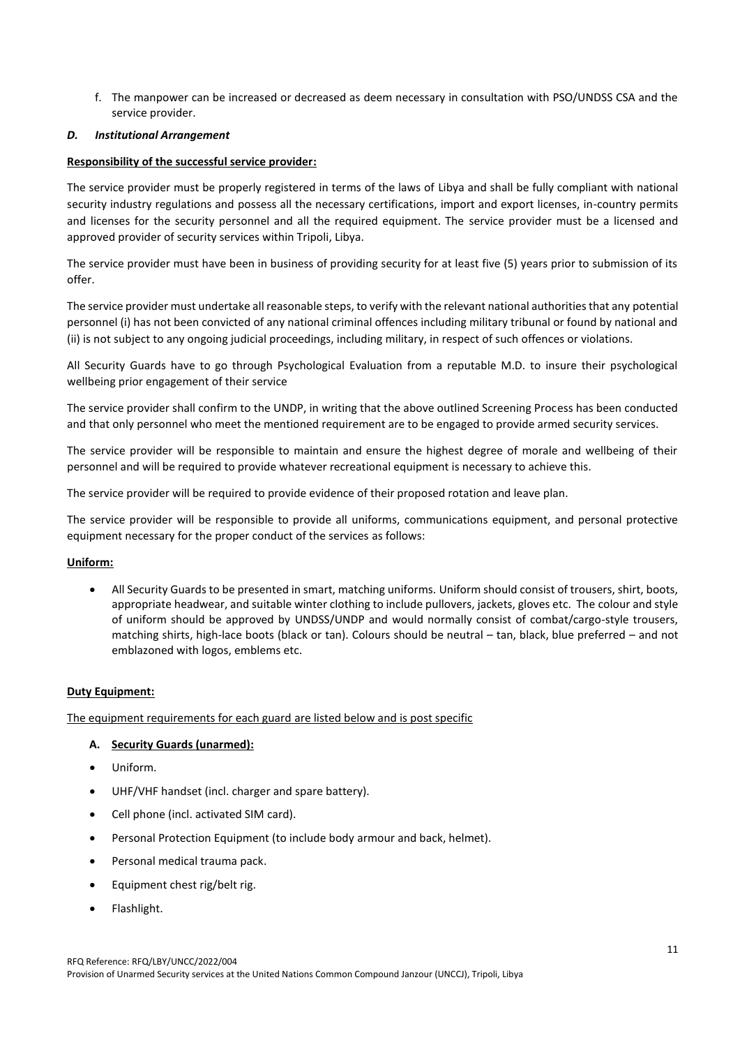f. The manpower can be increased or decreased as deem necessary in consultation with PSO/UNDSS CSA and the service provider.

### *D. Institutional Arrangement*

### **Responsibility of the successful service provider:**

The service provider must be properly registered in terms of the laws of Libya and shall be fully compliant with national security industry regulations and possess all the necessary certifications, import and export licenses, in-country permits and licenses for the security personnel and all the required equipment. The service provider must be a licensed and approved provider of security services within Tripoli, Libya.

The service provider must have been in business of providing security for at least five (5) years prior to submission of its offer.

The service provider must undertake all reasonable steps, to verify with the relevant national authorities that any potential personnel (i) has not been convicted of any national criminal offences including military tribunal or found by national and (ii) is not subject to any ongoing judicial proceedings, including military, in respect of such offences or violations.

All Security Guards have to go through Psychological Evaluation from a reputable M.D. to insure their psychological wellbeing prior engagement of their service

The service provider shall confirm to the UNDP, in writing that the above outlined Screening Process has been conducted and that only personnel who meet the mentioned requirement are to be engaged to provide armed security services.

The service provider will be responsible to maintain and ensure the highest degree of morale and wellbeing of their personnel and will be required to provide whatever recreational equipment is necessary to achieve this.

The service provider will be required to provide evidence of their proposed rotation and leave plan.

The service provider will be responsible to provide all uniforms, communications equipment, and personal protective equipment necessary for the proper conduct of the services as follows:

## **Uniform:**

• All Security Guards to be presented in smart, matching uniforms. Uniform should consist of trousers, shirt, boots, appropriate headwear, and suitable winter clothing to include pullovers, jackets, gloves etc. The colour and style of uniform should be approved by UNDSS/UNDP and would normally consist of combat/cargo-style trousers, matching shirts, high-lace boots (black or tan). Colours should be neutral – tan, black, blue preferred – and not emblazoned with logos, emblems etc.

## **Duty Equipment:**

The equipment requirements for each guard are listed below and is post specific

## **A. Security Guards (unarmed):**

- Uniform.
- UHF/VHF handset (incl. charger and spare battery).
- Cell phone (incl. activated SIM card).
- Personal Protection Equipment (to include body armour and back, helmet).
- Personal medical trauma pack.
- Equipment chest rig/belt rig.
- Flashlight.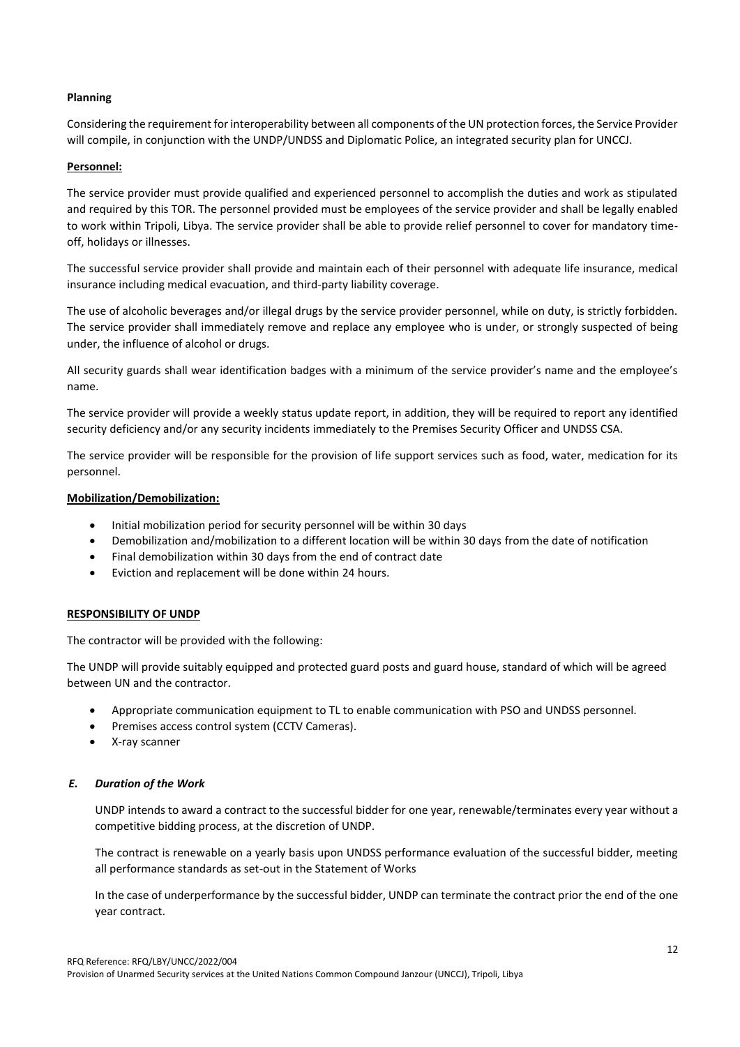### **Planning**

Considering the requirement for interoperability between all components of the UN protection forces, the Service Provider will compile, in conjunction with the UNDP/UNDSS and Diplomatic Police, an integrated security plan for UNCCJ.

### **Personnel:**

The service provider must provide qualified and experienced personnel to accomplish the duties and work as stipulated and required by this TOR. The personnel provided must be employees of the service provider and shall be legally enabled to work within Tripoli, Libya. The service provider shall be able to provide relief personnel to cover for mandatory timeoff, holidays or illnesses.

The successful service provider shall provide and maintain each of their personnel with adequate life insurance, medical insurance including medical evacuation, and third-party liability coverage.

The use of alcoholic beverages and/or illegal drugs by the service provider personnel, while on duty, is strictly forbidden. The service provider shall immediately remove and replace any employee who is under, or strongly suspected of being under, the influence of alcohol or drugs.

All security guards shall wear identification badges with a minimum of the service provider's name and the employee's name.

The service provider will provide a weekly status update report, in addition, they will be required to report any identified security deficiency and/or any security incidents immediately to the Premises Security Officer and UNDSS CSA.

The service provider will be responsible for the provision of life support services such as food, water, medication for its personnel.

### **Mobilization/Demobilization:**

- Initial mobilization period for security personnel will be within 30 days
- Demobilization and/mobilization to a different location will be within 30 days from the date of notification
- Final demobilization within 30 days from the end of contract date
- Eviction and replacement will be done within 24 hours.

### **RESPONSIBILITY OF UNDP**

The contractor will be provided with the following:

The UNDP will provide suitably equipped and protected guard posts and guard house, standard of which will be agreed between UN and the contractor.

- Appropriate communication equipment to TL to enable communication with PSO and UNDSS personnel.
- Premises access control system (CCTV Cameras).
- X-ray scanner

### *E. Duration of the Work*

UNDP intends to award a contract to the successful bidder for one year, renewable/terminates every year without a competitive bidding process, at the discretion of UNDP.

The contract is renewable on a yearly basis upon UNDSS performance evaluation of the successful bidder, meeting all performance standards as set-out in the Statement of Works

In the case of underperformance by the successful bidder, UNDP can terminate the contract prior the end of the one year contract.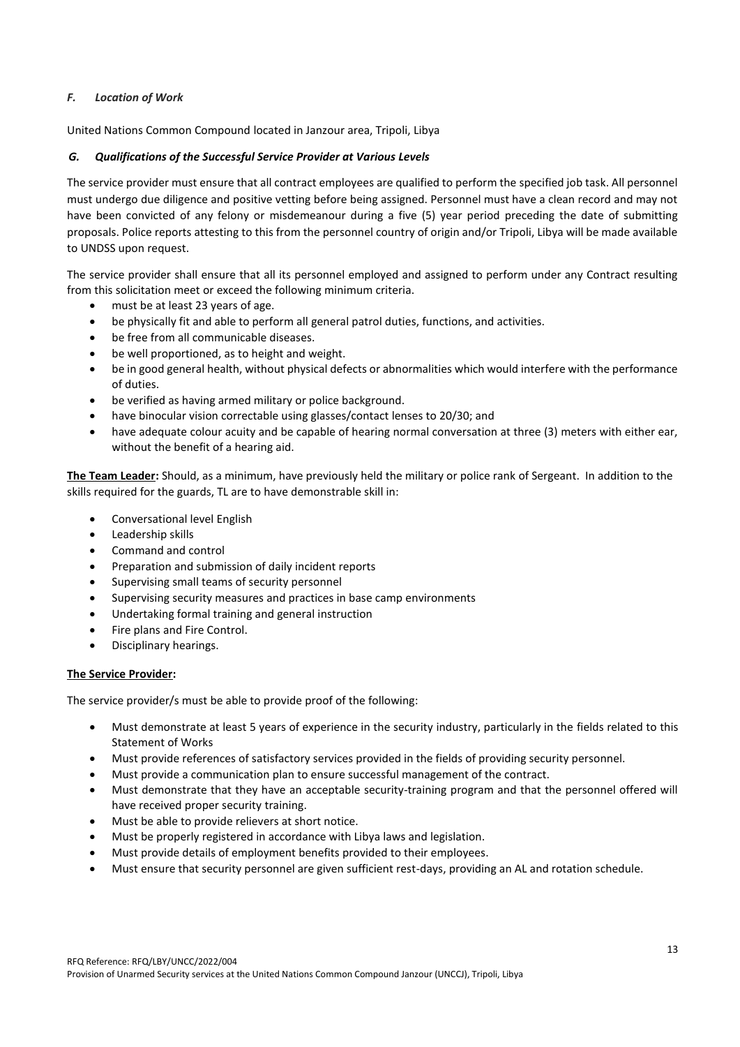### *F. Location of Work*

United Nations Common Compound located in Janzour area, Tripoli, Libya

### *G. Qualifications of the Successful Service Provider at Various Levels*

The service provider must ensure that all contract employees are qualified to perform the specified job task. All personnel must undergo due diligence and positive vetting before being assigned. Personnel must have a clean record and may not have been convicted of any felony or misdemeanour during a five (5) year period preceding the date of submitting proposals. Police reports attesting to this from the personnel country of origin and/or Tripoli, Libya will be made available to UNDSS upon request.

The service provider shall ensure that all its personnel employed and assigned to perform under any Contract resulting from this solicitation meet or exceed the following minimum criteria.

- must be at least 23 years of age.
- be physically fit and able to perform all general patrol duties, functions, and activities.
- be free from all communicable diseases.
- be well proportioned, as to height and weight.
- be in good general health, without physical defects or abnormalities which would interfere with the performance of duties.
- be verified as having armed military or police background.
- have binocular vision correctable using glasses/contact lenses to 20/30; and
- have adequate colour acuity and be capable of hearing normal conversation at three (3) meters with either ear, without the benefit of a hearing aid.

**The Team Leader:** Should, as a minimum, have previously held the military or police rank of Sergeant. In addition to the skills required for the guards, TL are to have demonstrable skill in:

- Conversational level English
- Leadership skills
- Command and control
- Preparation and submission of daily incident reports
- Supervising small teams of security personnel
- Supervising security measures and practices in base camp environments
- Undertaking formal training and general instruction
- Fire plans and Fire Control.
- Disciplinary hearings.

### **The Service Provider:**

The service provider/s must be able to provide proof of the following:

- Must demonstrate at least 5 years of experience in the security industry, particularly in the fields related to this Statement of Works
- Must provide references of satisfactory services provided in the fields of providing security personnel.
- Must provide a communication plan to ensure successful management of the contract.
- Must demonstrate that they have an acceptable security-training program and that the personnel offered will have received proper security training.
- Must be able to provide relievers at short notice.
- Must be properly registered in accordance with Libya laws and legislation.
- Must provide details of employment benefits provided to their employees.
- Must ensure that security personnel are given sufficient rest-days, providing an AL and rotation schedule.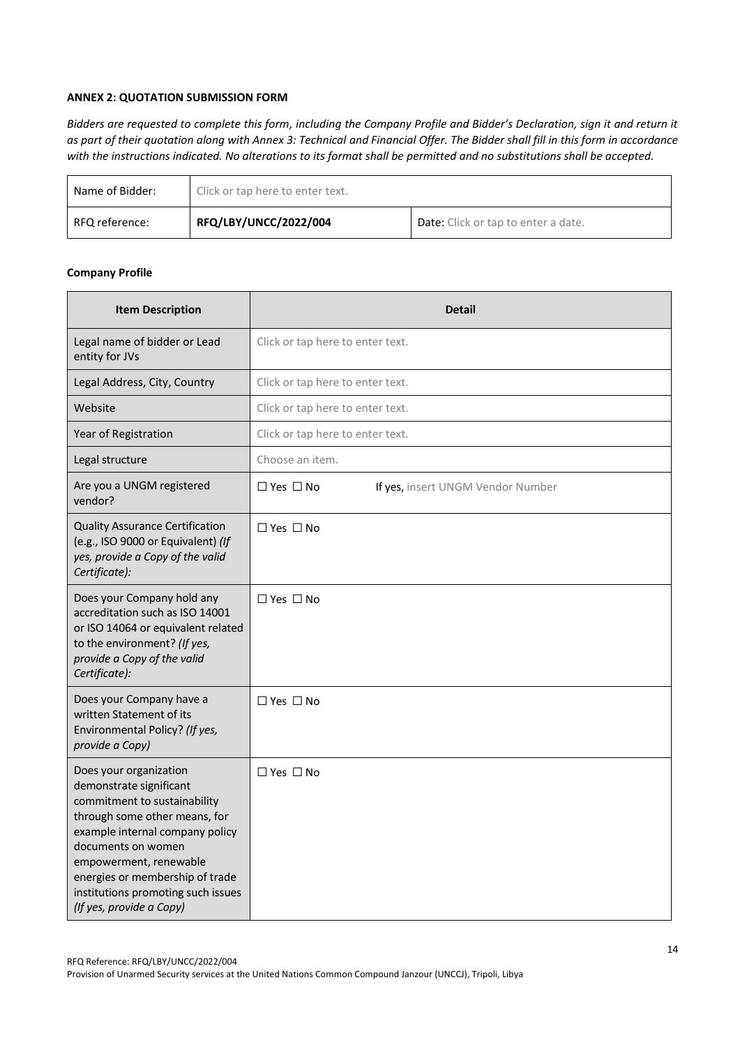### **ANNEX 2: QUOTATION SUBMISSION FORM**

*Bidders are requested to complete this form, including the Company Profile and Bidder's Declaration, sign it and return it as part of their quotation along with Annex 3: Technical and Financial Offer. The Bidder shall fill in this form in accordance with the instructions indicated. No alterations to its format shall be permitted and no substitutions shall be accepted.* 

| Name of Bidder: | Click or tap here to enter text. |                                            |  |
|-----------------|----------------------------------|--------------------------------------------|--|
| RFQ reference:  | RFQ/LBY/UNCC/2022/004            | <b>Date:</b> Click or tap to enter a date. |  |

### **Company Profile**

| <b>Item Description</b>                                                                                                                                                                                                                                                                                    | <b>Detail</b>                                             |  |
|------------------------------------------------------------------------------------------------------------------------------------------------------------------------------------------------------------------------------------------------------------------------------------------------------------|-----------------------------------------------------------|--|
| Legal name of bidder or Lead<br>entity for JVs                                                                                                                                                                                                                                                             | Click or tap here to enter text.                          |  |
| Legal Address, City, Country                                                                                                                                                                                                                                                                               | Click or tap here to enter text.                          |  |
| Website                                                                                                                                                                                                                                                                                                    | Click or tap here to enter text.                          |  |
| Year of Registration                                                                                                                                                                                                                                                                                       | Click or tap here to enter text.                          |  |
| Legal structure                                                                                                                                                                                                                                                                                            | Choose an item.                                           |  |
| Are you a UNGM registered<br>vendor?                                                                                                                                                                                                                                                                       | $\Box$ Yes $\Box$ No<br>If yes, insert UNGM Vendor Number |  |
| <b>Quality Assurance Certification</b><br>(e.g., ISO 9000 or Equivalent) (If<br>yes, provide a Copy of the valid<br>Certificate):                                                                                                                                                                          | $\Box$ Yes $\Box$ No                                      |  |
| Does your Company hold any<br>accreditation such as ISO 14001<br>or ISO 14064 or equivalent related<br>to the environment? (If yes,<br>provide a Copy of the valid<br>Certificate):                                                                                                                        | $\Box$ Yes $\Box$ No                                      |  |
| Does your Company have a<br>written Statement of its<br>Environmental Policy? (If yes,<br>provide a Copy)                                                                                                                                                                                                  | $\Box$ Yes $\Box$ No                                      |  |
| Does your organization<br>demonstrate significant<br>commitment to sustainability<br>through some other means, for<br>example internal company policy<br>documents on women<br>empowerment, renewable<br>energies or membership of trade<br>institutions promoting such issues<br>(If yes, provide a Copy) | $\Box$ Yes $\Box$ No                                      |  |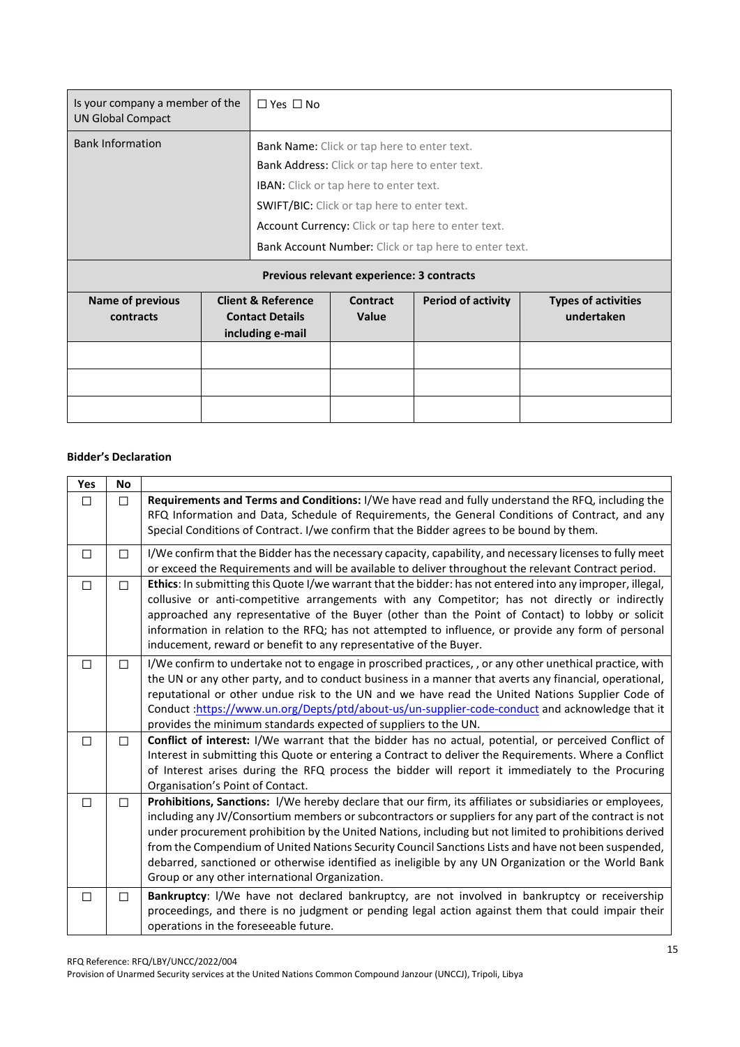| Is your company a member of the<br><b>UN Global Compact</b> |  | $\Box$ Yes $\Box$ No                                  |                                                    |                           |                            |
|-------------------------------------------------------------|--|-------------------------------------------------------|----------------------------------------------------|---------------------------|----------------------------|
| <b>Bank Information</b>                                     |  | Bank Name: Click or tap here to enter text.           |                                                    |                           |                            |
|                                                             |  | Bank Address: Click or tap here to enter text.        |                                                    |                           |                            |
|                                                             |  | <b>IBAN:</b> Click or tap here to enter text.         |                                                    |                           |                            |
|                                                             |  |                                                       | <b>SWIFT/BIC:</b> Click or tap here to enter text. |                           |                            |
|                                                             |  | Account Currency: Click or tap here to enter text.    |                                                    |                           |                            |
|                                                             |  | Bank Account Number: Click or tap here to enter text. |                                                    |                           |                            |
|                                                             |  |                                                       | Previous relevant experience: 3 contracts          |                           |                            |
| <b>Name of previous</b>                                     |  | <b>Client &amp; Reference</b>                         | <b>Contract</b>                                    | <b>Period of activity</b> | <b>Types of activities</b> |
| contracts                                                   |  | <b>Contact Details</b><br>including e-mail            | Value                                              |                           | undertaken                 |
|                                                             |  |                                                       |                                                    |                           |                            |
|                                                             |  |                                                       |                                                    |                           |                            |
|                                                             |  |                                                       |                                                    |                           |                            |

## **Bidder's Declaration**

| <b>Yes</b> | <b>No</b> |                                                                                                                                                                                                                                                                                                                                                                                                                                                                                                                                                                                              |
|------------|-----------|----------------------------------------------------------------------------------------------------------------------------------------------------------------------------------------------------------------------------------------------------------------------------------------------------------------------------------------------------------------------------------------------------------------------------------------------------------------------------------------------------------------------------------------------------------------------------------------------|
| $\Box$     | П         | Requirements and Terms and Conditions: I/We have read and fully understand the RFQ, including the<br>RFQ Information and Data, Schedule of Requirements, the General Conditions of Contract, and any<br>Special Conditions of Contract. I/we confirm that the Bidder agrees to be bound by them.                                                                                                                                                                                                                                                                                             |
| □          | п         | I/We confirm that the Bidder has the necessary capacity, capability, and necessary licenses to fully meet<br>or exceed the Requirements and will be available to deliver throughout the relevant Contract period.                                                                                                                                                                                                                                                                                                                                                                            |
| $\Box$     | П         | Ethics: In submitting this Quote I/we warrant that the bidder: has not entered into any improper, illegal,<br>collusive or anti-competitive arrangements with any Competitor; has not directly or indirectly<br>approached any representative of the Buyer (other than the Point of Contact) to lobby or solicit<br>information in relation to the RFQ; has not attempted to influence, or provide any form of personal<br>inducement, reward or benefit to any representative of the Buyer.                                                                                                 |
| $\Box$     | п         | I/We confirm to undertake not to engage in proscribed practices, , or any other unethical practice, with<br>the UN or any other party, and to conduct business in a manner that averts any financial, operational,<br>reputational or other undue risk to the UN and we have read the United Nations Supplier Code of<br>Conduct:https://www.un.org/Depts/ptd/about-us/un-supplier-code-conduct and acknowledge that it<br>provides the minimum standards expected of suppliers to the UN.                                                                                                   |
| □          | П         | Conflict of interest: I/We warrant that the bidder has no actual, potential, or perceived Conflict of<br>Interest in submitting this Quote or entering a Contract to deliver the Requirements. Where a Conflict<br>of Interest arises during the RFQ process the bidder will report it immediately to the Procuring<br>Organisation's Point of Contact.                                                                                                                                                                                                                                      |
| $\Box$     | п         | Prohibitions, Sanctions: I/We hereby declare that our firm, its affiliates or subsidiaries or employees,<br>including any JV/Consortium members or subcontractors or suppliers for any part of the contract is not<br>under procurement prohibition by the United Nations, including but not limited to prohibitions derived<br>from the Compendium of United Nations Security Council Sanctions Lists and have not been suspended,<br>debarred, sanctioned or otherwise identified as ineligible by any UN Organization or the World Bank<br>Group or any other international Organization. |
| □          | П         | Bankruptcy: I/We have not declared bankruptcy, are not involved in bankruptcy or receivership<br>proceedings, and there is no judgment or pending legal action against them that could impair their<br>operations in the foreseeable future.                                                                                                                                                                                                                                                                                                                                                 |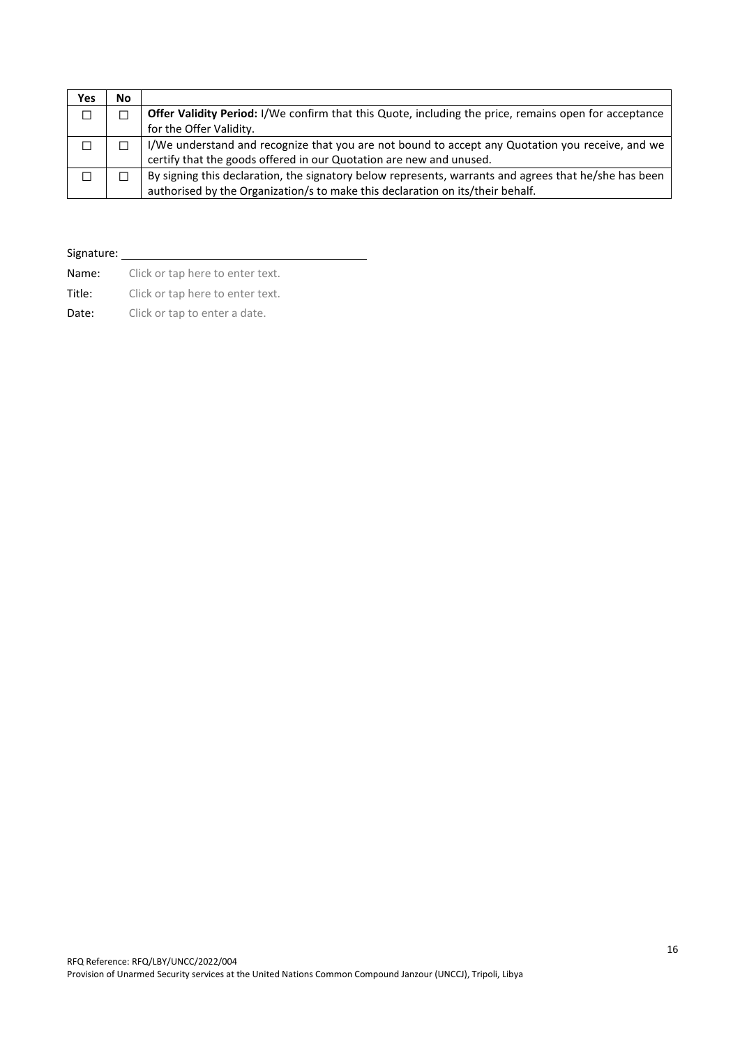| Yes    | No |                                                                                                       |  |
|--------|----|-------------------------------------------------------------------------------------------------------|--|
| $\Box$ |    | Offer Validity Period: I/We confirm that this Quote, including the price, remains open for acceptance |  |
|        |    | for the Offer Validity.                                                                               |  |
|        |    | I/We understand and recognize that you are not bound to accept any Quotation you receive, and we      |  |
|        |    | certify that the goods offered in our Quotation are new and unused.                                   |  |
|        |    | By signing this declaration, the signatory below represents, warrants and agrees that he/she has been |  |
|        |    | authorised by the Organization/s to make this declaration on its/their behalf.                        |  |

# Signature:

| Name:  | Click or tap here to enter text. |
|--------|----------------------------------|
| Title: | Click or tap here to enter text. |
| Date:  | Click or tap to enter a date.    |

RFQ Reference: RFQ/LBY/UNCC/2022/004 Provision of Unarmed Security services at the United Nations Common Compound Janzour (UNCCJ), Tripoli, Libya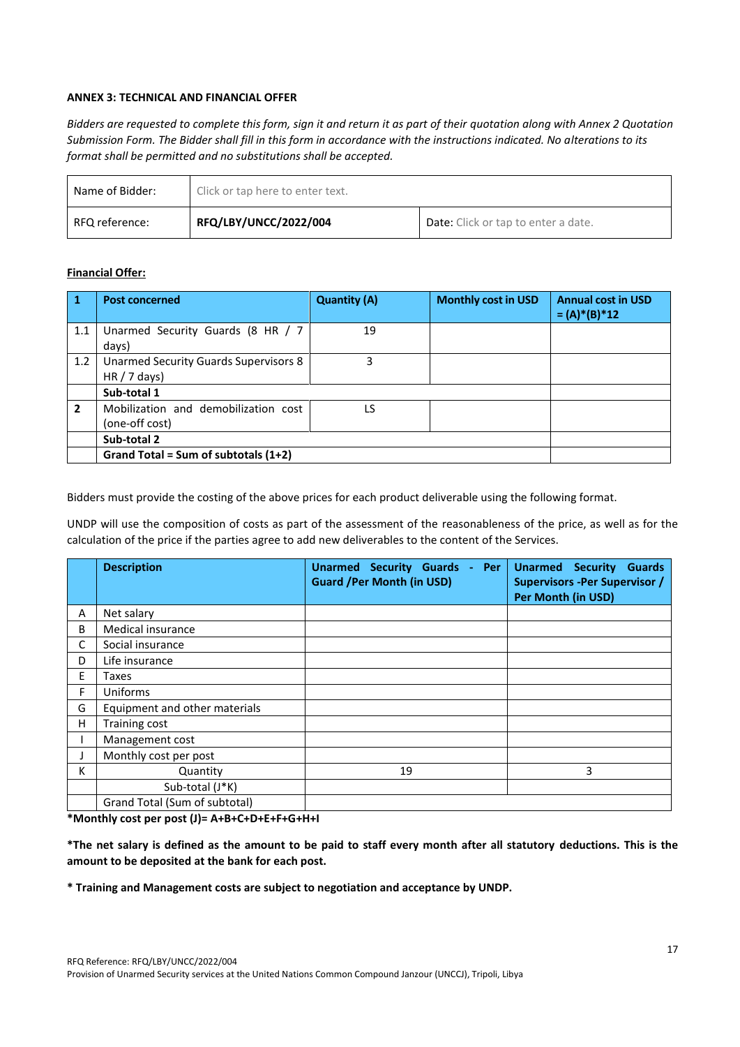### **ANNEX 3: TECHNICAL AND FINANCIAL OFFER**

*Bidders are requested to complete this form, sign it and return it as part of their quotation along with Annex 2 Quotation Submission Form. The Bidder shall fill in this form in accordance with the instructions indicated. No alterations to its format shall be permitted and no substitutions shall be accepted.*

| Name of Bidder: | Click or tap here to enter text. |                                            |
|-----------------|----------------------------------|--------------------------------------------|
| RFQ reference:  | RFQ/LBY/UNCC/2022/004            | <b>Date:</b> Click or tap to enter a date. |

### **Financial Offer:**

|                | <b>Post concerned</b>                                  | <b>Quantity (A)</b> | <b>Monthly cost in USD</b> | <b>Annual cost in USD</b><br>$= (A) * (B) * 12$ |
|----------------|--------------------------------------------------------|---------------------|----------------------------|-------------------------------------------------|
| 1.1            | Unarmed Security Guards (8 HR / 7<br>days)             | 19                  |                            |                                                 |
| 1.2            | Unarmed Security Guards Supervisors 8<br>HR / 7 days   | 3                   |                            |                                                 |
|                | Sub-total 1                                            |                     |                            |                                                 |
| $\overline{2}$ | Mobilization and demobilization cost<br>(one-off cost) | LS                  |                            |                                                 |
|                | Sub-total 2                                            |                     |                            |                                                 |
|                | Grand Total = Sum of subtotals (1+2)                   |                     |                            |                                                 |

Bidders must provide the costing of the above prices for each product deliverable using the following format.

UNDP will use the composition of costs as part of the assessment of the reasonableness of the price, as well as for the calculation of the price if the parties agree to add new deliverables to the content of the Services.

|    | <b>Description</b>            | <b>Unarmed Security Guards</b><br>Per<br>$\sim$<br><b>Guard /Per Month (in USD)</b> | Unarmed Security<br><b>Guards</b><br><b>Supervisors -Per Supervisor /</b><br>Per Month (in USD) |
|----|-------------------------------|-------------------------------------------------------------------------------------|-------------------------------------------------------------------------------------------------|
| A  | Net salary                    |                                                                                     |                                                                                                 |
| B  | Medical insurance             |                                                                                     |                                                                                                 |
| C  | Social insurance              |                                                                                     |                                                                                                 |
| D  | Life insurance                |                                                                                     |                                                                                                 |
| E. | Taxes                         |                                                                                     |                                                                                                 |
| F  | Uniforms                      |                                                                                     |                                                                                                 |
| G  | Equipment and other materials |                                                                                     |                                                                                                 |
| H. | Training cost                 |                                                                                     |                                                                                                 |
|    | Management cost               |                                                                                     |                                                                                                 |
|    | Monthly cost per post         |                                                                                     |                                                                                                 |
| K  | Quantity                      | 19                                                                                  | 3                                                                                               |
|    | Sub-total (J*K)               |                                                                                     |                                                                                                 |
|    | Grand Total (Sum of subtotal) |                                                                                     |                                                                                                 |

**\*Monthly cost per post (J)= A+B+C+D+E+F+G+H+I** 

**\*The net salary is defined as the amount to be paid to staff every month after all statutory deductions. This is the amount to be deposited at the bank for each post.**

**\* Training and Management costs are subject to negotiation and acceptance by UNDP.**